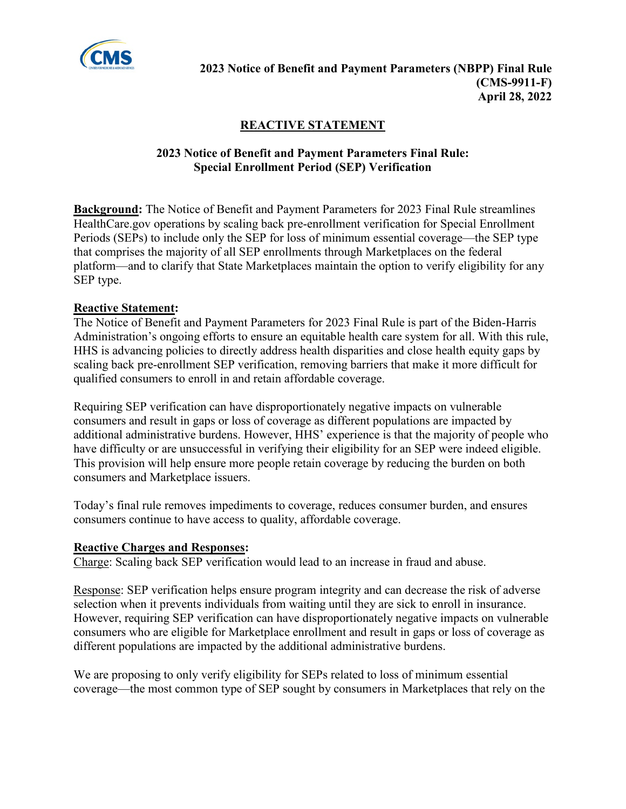

## **REACTIVE STATEMENT**

## **2023 Notice of Benefit and Payment Parameters Final Rule: Special Enrollment Period (SEP) Verification**

**Background:** The Notice of Benefit and Payment Parameters for 2023 Final Rule streamlines HealthCare.gov operations by scaling back pre-enrollment verification for Special Enrollment Periods (SEPs) to include only the SEP for loss of minimum essential coverage—the SEP type that comprises the majority of all SEP enrollments through Marketplaces on the federal platform—and to clarify that State Marketplaces maintain the option to verify eligibility for any SEP type.

## **Reactive Statement:**

The Notice of Benefit and Payment Parameters for 2023 Final Rule is part of the Biden-Harris Administration's ongoing efforts to ensure an equitable health care system for all. With this rule, HHS is advancing policies to directly address health disparities and close health equity gaps by scaling back pre-enrollment SEP verification, removing barriers that make it more difficult for qualified consumers to enroll in and retain affordable coverage.

Requiring SEP verification can have disproportionately negative impacts on vulnerable consumers and result in gaps or loss of coverage as different populations are impacted by additional administrative burdens. However, HHS' experience is that the majority of people who have difficulty or are unsuccessful in verifying their eligibility for an SEP were indeed eligible. This provision will help ensure more people retain coverage by reducing the burden on both consumers and Marketplace issuers.

Today's final rule removes impediments to coverage, reduces consumer burden, and ensures consumers continue to have access to quality, affordable coverage.

## **Reactive Charges and Responses:**

Charge: Scaling back SEP verification would lead to an increase in fraud and abuse.

Response: SEP verification helps ensure program integrity and can decrease the risk of adverse selection when it prevents individuals from waiting until they are sick to enroll in insurance. However, requiring SEP verification can have disproportionately negative impacts on vulnerable consumers who are eligible for Marketplace enrollment and result in gaps or loss of coverage as different populations are impacted by the additional administrative burdens.

We are proposing to only verify eligibility for SEPs related to loss of minimum essential coverage—the most common type of SEP sought by consumers in Marketplaces that rely on the